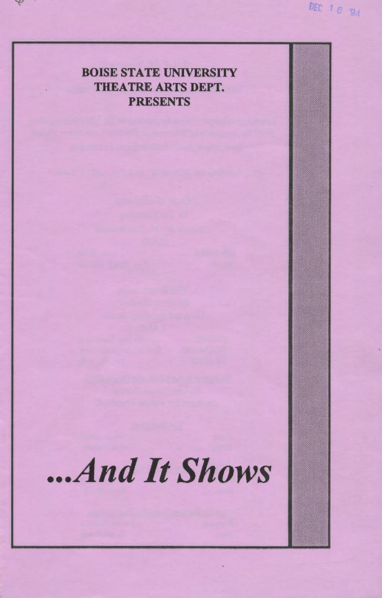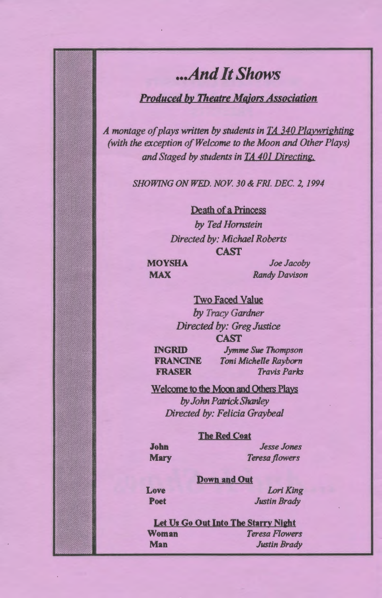# *... And It Shows*

# *Produced by Theatre Majors Association*

*A montage of plays written by students in TA 340 Playwrighting (with the exception of Welcome to the Moon and Other Plays) and Staged by students in TA 401 Directing.* 

*SHOWING ON WED. NOV. 30&FRI. DEC. 2,1994* 

Death of a Princess *by Ted Hornstein Directed by: Michael Roberts*  CAST

**MOYSHA MAX** 

*Joe Jacoby Randy Davison* 

Two Faced Value *by Tracy Gardner Directed by: Greg Justice*  CAST

INGRID **FRANCINE** FRASER

*Jymme Sue Thompson Toni Michelle Rayborn Travis Parks* 

Welcome to the Moon and Others Plays *by John Patrick* Shanley *Directed by: Felicia Graybeal* 

#### **The Red Coat**

John **Mary** 

*Jesse Jones Teresa flowers* 

#### Down and Out

Love Poet

*Lori King Justin Brady* 

Let Us Go Out Into The Starry Night Woman *Teresa Rowers*  Man *Justin Brady*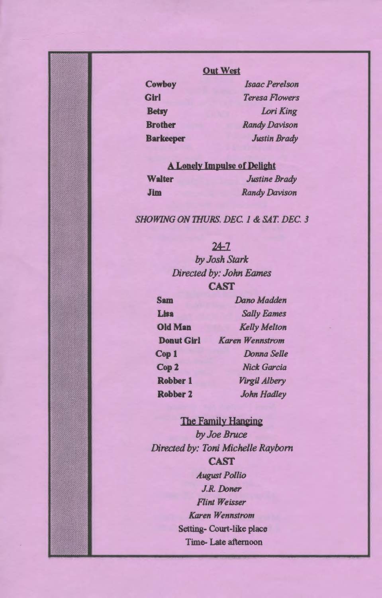# Out West

**Cowboy Girl Betsy Brother Barkeeper** 

*Isaac Perelson Teresa Flowers Lori King Randy Davison Justin Brady* 

# A Lonely Impulse of Delight

| <b>Walter</b> | <b>Justine Brady</b> |
|---------------|----------------------|
| Jim           | <b>Randy Davison</b> |

### *SHOWING ON THURS. DEC. 1* & *SAT. DEC. 3*

|                         | $24 - 7$               |  |
|-------------------------|------------------------|--|
| by Josh Stark           |                        |  |
| Directed by: John Eames |                        |  |
| <b>CAST</b>             |                        |  |
| <b>Sam</b>              | Dano Madden            |  |
| Lisa                    | <b>Sally Eames</b>     |  |
| <b>Old Man</b>          | <b>Kelly Melton</b>    |  |
| <b>Donut Girl</b>       | <b>Karen Wennstrom</b> |  |
| Cop1                    | Donna Selle            |  |
| Cop <sub>2</sub>        | <b>Nick Garcia</b>     |  |
| Robber 1                | Virgil Albery          |  |
| Robber 2                | John Hadley            |  |
|                         |                        |  |

# The Family Hanging *by Joe Bruce*

*Directed by: Toni Michelle Rayborn*  CAST *August Pollio J.R. Doner Flint Weisser Karen Wennstrom*  Setting- Court-like place Time- Late afternoon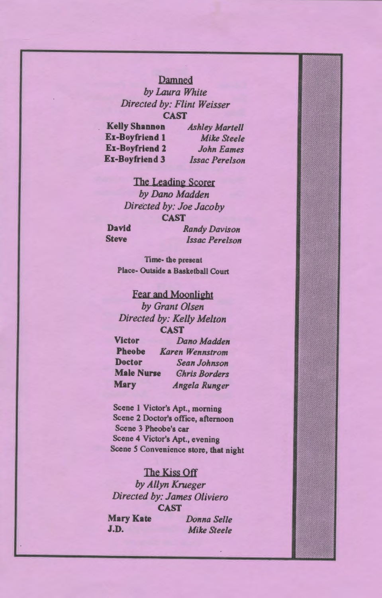#### Damned

*by Laura White Directed by: Flint Weisser*  **CAST** 

Kelly Shannon Ex-Boyfriend 1 Ex-Boyfriend 2 Ex-Boyfriend 3

*Ashley Martell Mike Steele John Eames Issac Perelson* 

The Leading Scorer *by Dana Madden Directed by: Joe Jacoby*  CAST

David Steve

*Randy Davison Issac Perelson* 

Time- the present Place- Outside a Basketball Court

#### Fear and Moonlight

*by Grant Olsen Directed by: Kelly Melton*  CAST Victor *DanoMadden*  Pbeobe *Karen Wennstrom*  Doctor *Sean Johnson*  Male Nurse Mary *Ghris Borders Angela Runger* 

Scene I Victor's Apt., morning Scene 2 Doctor's office, afternoon Scene 3 Pheobe's car Scene 4 Victor's Apt., evening Scene 5 Convenience store, that night

### The Kiss Off

*by Allyn Krueger Directed by: James 0/iviero*  CAST

Mary Kate J.D. *Donna Selle Mike Steele*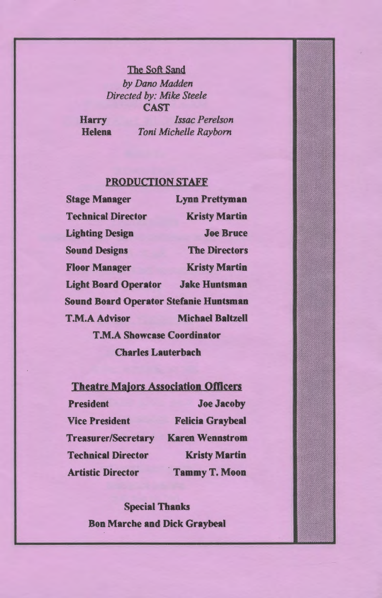### The Soft Sand

*by Dano Madden Directed by: Mike Steele*  CAST

Harry **Helena** 

*Issac Perelson Toni Michelle Rayborn* 

### PRODUCTION STAFF

| <b>Stage Manager</b>                          | <b>Lynn Prettyman</b>   |  |
|-----------------------------------------------|-------------------------|--|
| <b>Technical Director</b>                     | <b>Kristy Martin</b>    |  |
| <b>Lighting Design</b>                        | <b>Joe Bruce</b>        |  |
| <b>Sound Designs</b>                          | <b>The Directors</b>    |  |
| <b>Floor Manager</b>                          | <b>Kristy Martin</b>    |  |
| <b>Light Board Operator</b>                   | <b>Jake Huntsman</b>    |  |
| <b>Sound Board Operator Stefanie Huntsman</b> |                         |  |
| <b>T.M.A Advisor</b>                          | <b>Michael Baltzell</b> |  |
| <b>T.M.A Showcase Coordinator</b>             |                         |  |
| <b>Charles Lauterbach</b>                     |                         |  |

| <b>Theatre Majors Association Officers</b> |                         |  |
|--------------------------------------------|-------------------------|--|
| <b>President</b>                           | <b>Joe Jacoby</b>       |  |
| <b>Vice President</b>                      | <b>Felicia Graybeal</b> |  |
| Treasurer/Secretary                        | <b>Karen Wennstrom</b>  |  |
| <b>Technical Director</b>                  | <b>Kristy Martin</b>    |  |
| <b>Artistic Director</b>                   | <b>Tammy T. Moon</b>    |  |

Special Thanks Bon Marche and Dick Graybeal